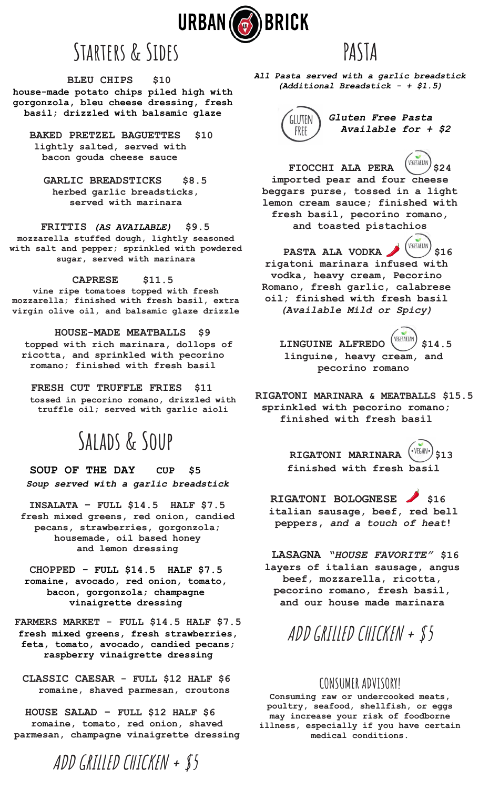

## **Starters & Sides**

**BLEU CHIPS \$10 house-made potato chips piled high with gorgonzola, bleu cheese dressing, fresh basil; drizzled with balsamic glaze**

**BAKED PRETZEL BAGUETTES \$10 lightly salted, served with bacon gouda cheese sauce**

**GARLIC BREADSTICKS \$8.5 herbed garlic breadsticks, served with marinara**

**FRITTIS** *(AS AVAILABLE)* **\$9.5 mozzarella stuffed dough, lightly seasoned with salt and pepper; sprinkled with powdered sugar, served with marinara**

**CAPRESE \$11.5**

**vine ripe tomatoes topped with fresh mozzarella; finished with fresh basil, extra virgin olive oil, and balsamic glaze drizzle**

**HOUSE-MADE MEATBALLS \$9 topped with rich marinara, dollops of ricotta, and sprinkled with pecorino romano; finished with fresh basil**

**FRESH CUT TRUFFLE FRIES \$11 tossed in pecorino romano, drizzled with truffle oil; served with garlic aioli**

### **Salads & Soup**

**SOUP OF THE DAY CUP \$5** *Soup served with a garlic breadstick*

**INSALATA - FULL \$14.5 HALF \$7.5 fresh mixed greens, red onion, candied pecans, strawberries, gorgonzola; housemade, oil based honey and lemon dressing**

**CHOPPED - FULL \$14.5 HALF \$7.5 romaine, avocado, red onion, tomato, bacon, gorgonzola; champagne vinaigrette dressing**

**FARMERS MARKET - FULL \$14.5 HALF \$7.5 fresh mixed greens, fresh strawberries, feta, tomato, avocado, candied pecans; raspberry vinaigrette dressing**

**CLASSIC CAESAR - FULL \$12 HALF \$6 romaine, shaved parmesan, croutons**

**HOUSE SALAD - FULL \$12 HALF \$6 romaine, tomato, red onion, shaved parmesan, champagne vinaigrette dressing** *All Pasta served with a garlic breadstick (Additional Breadstick - + \$1.5)*

**PASTA**

GLUTEN FREE

*Gluten Free Pasta Available for + \$2*

**FIOCCHI ALA PERA \$24 imported pear and four cheese beggars purse, tossed in a light lemon cream sauce; finished with fresh basil, pecorino romano, and toasted pistachios**

**PASTA ALA VODKA (VEGTARIAN)** \$16 **rigatoni marinara infused with vodka, heavy cream, Pecorino Romano, fresh garlic, calabrese oil; finished with fresh basil** *(Available Mild or Spicy)*

**LINGUINE ALFREDO**  $\left(\frac{\text{VFGITAKIAN}}{\text{VFGITAKIAN}}\right)$  \$14.5 **linguine, heavy cream, and pecorino romano**

**RIGATONI MARINARA & MEATBALLS \$15.5 sprinkled with pecorino romano; finished with fresh basil**

> **RIGATONI MARINARA \$13 finished with fresh basil**

RIGATONI BOLOGNESE 316 **italian sausage, beef, red bell peppers,** *and a touch of heat***!**

**LASAGNA** *"HOUSE FAVORITE"* **\$16 layers of italian sausage, angus beef, mozzarella, ricotta, pecorino romano, fresh basil, and our house made marinara**

### **ADDGRILLEDCHICKEN <sup>+</sup> \$5**

### **CONSUMER ADVISORY!**

**Consuming raw or undercooked meats, poultry, seafood, shellfish, or eggs may increase your risk of foodborne illness, especially if you have certain medical conditions.**

**ADDGRILLEDCHICKEN <sup>+</sup> \$5**